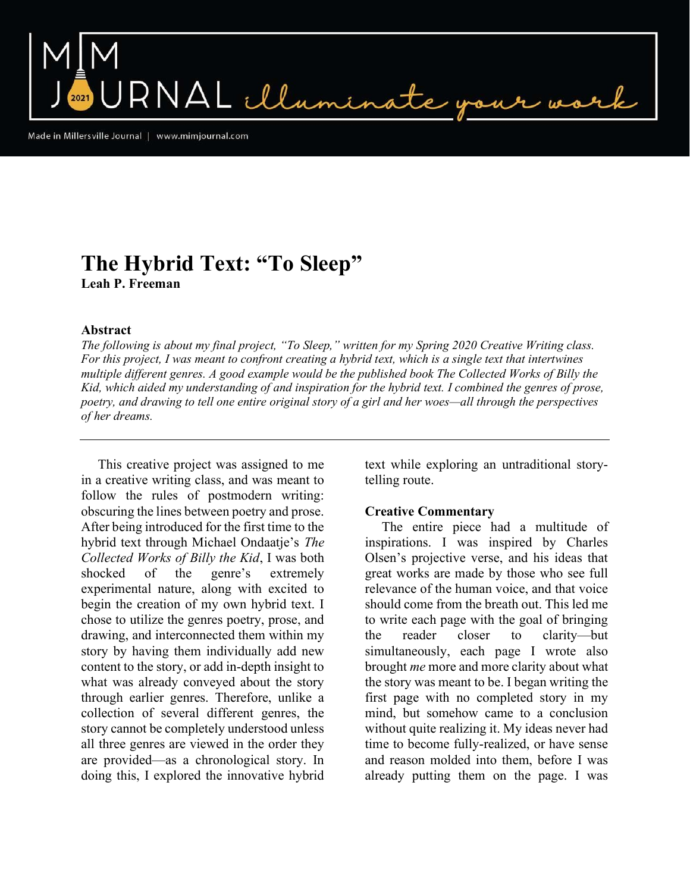Made in Millersville Journal | www.mimjournal.com

## The Hybrid Text: "To Sleep" Leah P. Freeman

NAL illum

## Abstract

The following is about my final project, "To Sleep," written for my Spring 2020 Creative Writing class. For this project, I was meant to confront creating a hybrid text, which is a single text that intertwines multiple different genres. A good example would be the published book The Collected Works of Billy the Kid, which aided my understanding of and inspiration for the hybrid text. I combined the genres of prose, poetry, and drawing to tell one entire original story of a girl and her woes—all through the perspectives of her dreams.

 This creative project was assigned to me in a creative writing class, and was meant to follow the rules of postmodern writing: obscuring the lines between poetry and prose. After being introduced for the first time to the hybrid text through Michael Ondaatje's The Collected Works of Billy the Kid, I was both shocked of the genre's extremely experimental nature, along with excited to begin the creation of my own hybrid text. I chose to utilize the genres poetry, prose, and drawing, and interconnected them within my story by having them individually add new content to the story, or add in-depth insight to what was already conveyed about the story through earlier genres. Therefore, unlike a collection of several different genres, the story cannot be completely understood unless all three genres are viewed in the order they are provided—as a chronological story. In doing this, I explored the innovative hybrid

text while exploring an untraditional storytelling route.

## Creative Commentary

 The entire piece had a multitude of inspirations. I was inspired by Charles Olsen's projective verse, and his ideas that great works are made by those who see full relevance of the human voice, and that voice should come from the breath out. This led me to write each page with the goal of bringing the reader closer to clarity—but simultaneously, each page I wrote also brought *me* more and more clarity about what the story was meant to be. I began writing the first page with no completed story in my mind, but somehow came to a conclusion without quite realizing it. My ideas never had time to become fully-realized, or have sense and reason molded into them, before I was already putting them on the page. I was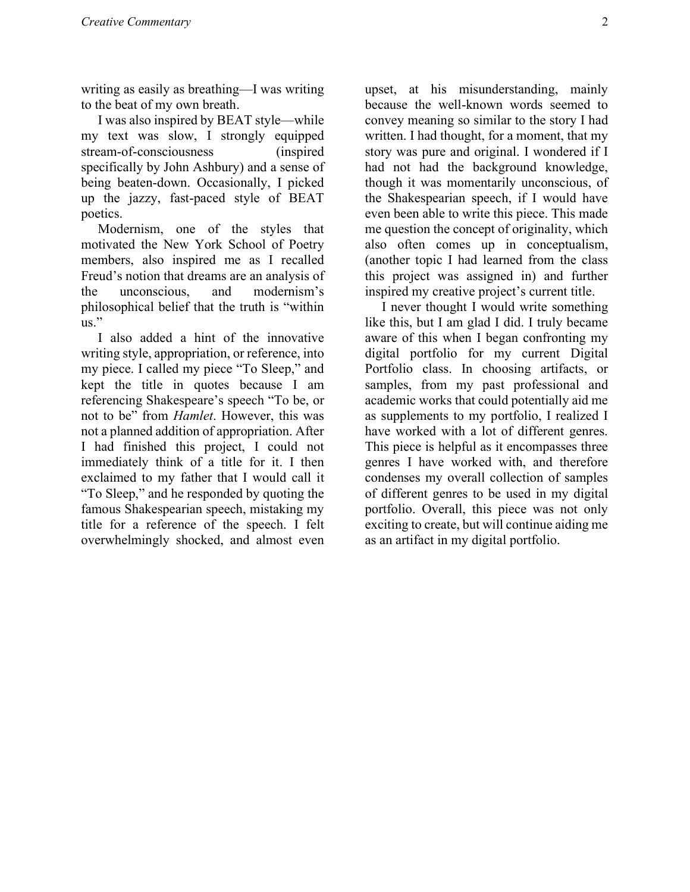writing as easily as breathing—I was writing to the beat of my own breath.

 I was also inspired by BEAT style—while my text was slow, I strongly equipped stream-of-consciousness (inspired specifically by John Ashbury) and a sense of being beaten-down. Occasionally, I picked up the jazzy, fast-paced style of BEAT poetics.

 Modernism, one of the styles that motivated the New York School of Poetry members, also inspired me as I recalled Freud's notion that dreams are an analysis of the unconscious, and modernism's philosophical belief that the truth is "within us."

 I also added a hint of the innovative writing style, appropriation, or reference, into my piece. I called my piece "To Sleep," and kept the title in quotes because I am referencing Shakespeare's speech "To be, or not to be" from Hamlet. However, this was not a planned addition of appropriation. After I had finished this project, I could not immediately think of a title for it. I then exclaimed to my father that I would call it "To Sleep," and he responded by quoting the famous Shakespearian speech, mistaking my title for a reference of the speech. I felt overwhelmingly shocked, and almost even

upset, at his misunderstanding, mainly because the well-known words seemed to convey meaning so similar to the story I had written. I had thought, for a moment, that my story was pure and original. I wondered if I had not had the background knowledge, though it was momentarily unconscious, of the Shakespearian speech, if I would have even been able to write this piece. This made me question the concept of originality, which also often comes up in conceptualism, (another topic I had learned from the class this project was assigned in) and further inspired my creative project's current title.

 I never thought I would write something like this, but I am glad I did. I truly became aware of this when I began confronting my digital portfolio for my current Digital Portfolio class. In choosing artifacts, or samples, from my past professional and academic works that could potentially aid me as supplements to my portfolio, I realized I have worked with a lot of different genres. This piece is helpful as it encompasses three genres I have worked with, and therefore condenses my overall collection of samples of different genres to be used in my digital portfolio. Overall, this piece was not only exciting to create, but will continue aiding me as an artifact in my digital portfolio.